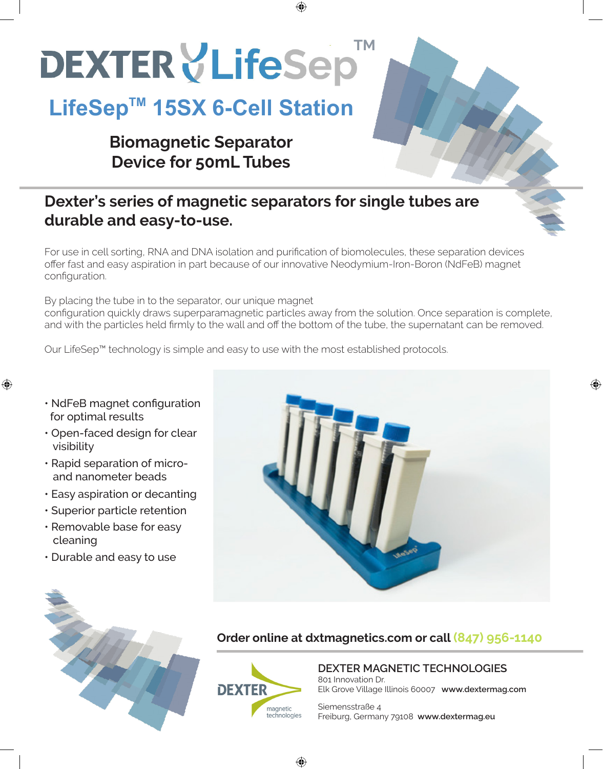# **DEXTER VLifeSep**

## LifeSep<sup>™</sup> 15SX 6-Cell Station

## **Biomagnetic Separator Device for 50mL Tubes**

## **Dexter's series of magnetic separators for single tubes are durable and easy-to-use.**

For use in cell sorting, RNA and DNA isolation and purification of biomolecules, these separation devices offer fast and easy aspiration in part because of our innovative Neodymium-Iron-Boron (NdFeB) magnet configuration.

By placing the tube in to the separator, our unique magnet configuration quickly draws superparamagnetic particles away from the solution. Once separation is complete, and with the particles held firmly to the wall and off the bottom of the tube, the supernatant can be removed.

♠

Our LifeSep™ technology is simple and easy to use with the most established protocols.

• NdFeB magnet configuration for optimal results

⊕

- Open-faced design for clear visibility
- Rapid separation of micro and nanometer beads
- Easy aspiration or decanting
- Superior particle retention
- Removable base for easy cleaning
- Durable and easy to use



⊕





♠

## **DEXTER MAGNETIC TECHNOLOGIES** 801 Innovation Dr.

Elk Grove Village Illinois 60007 **www.dextermag.com**

Siemensstraße 4 Freiburg, Germany 79108 **www.dextermag.eu**